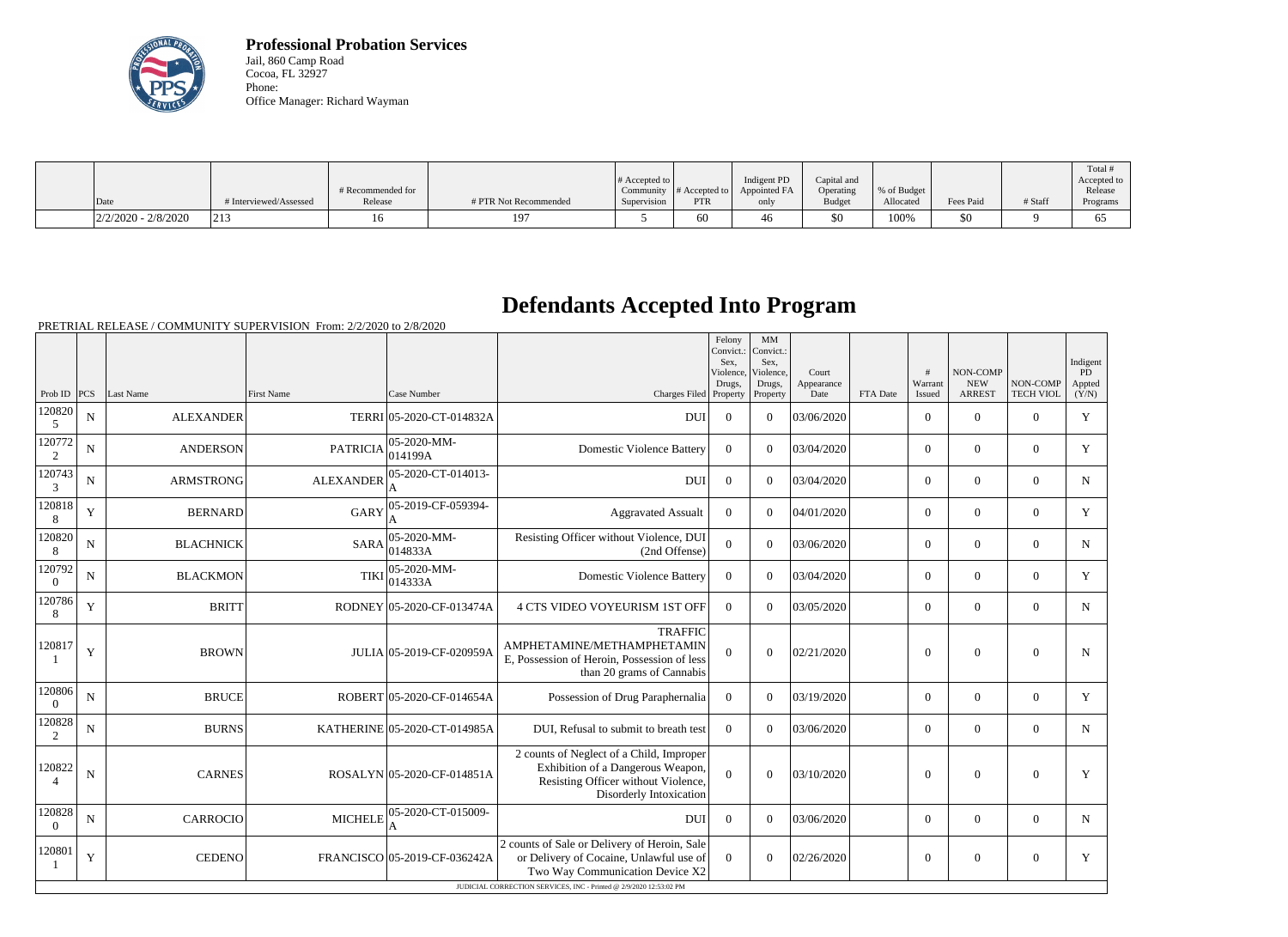

**Professional Probation Services** Jail, 860 Camp Road Cocoa, FL 32927 Phone: Office Manager: Richard Wayman

|                       |                        |                   |                       | # Accepted to |                                        | Indigent PD  | Capital and   |             |           |         | Total<br>Accepted to |
|-----------------------|------------------------|-------------------|-----------------------|---------------|----------------------------------------|--------------|---------------|-------------|-----------|---------|----------------------|
|                       |                        | # Recommended for |                       |               | Community $ #$ Accepted to $  \rangle$ | Appointed FA | Operating     | % of Budget |           |         | Release              |
| Date                  | # Interviewed/Assessed | Release           | # PTR Not Recommended | Supervision   | <b>PTR</b>                             | only         | <b>Budget</b> | Allocated   | Fees Paid | # Staff | Programs             |
| $2/2/2020 - 2/8/2020$ | $ 21\rangle$           |                   | 197                   |               | 60                                     | 40 F         | \$0           | 100%        | \$0       |         | - 02                 |

## **Defendants Accepted Into Program**

|                          |                                                                    |                  |                   |                                |                                                                                                                                                 | Felony<br>Convict.:<br>Sex.<br>Violence, | MM<br>Convict.:<br>Sex,<br>Violence, | Court              |          | #<br>Warrant   | <b>NON-COMP</b><br><b>NEW</b> | NON-COMP         | Indigent<br><b>PD</b> |
|--------------------------|--------------------------------------------------------------------|------------------|-------------------|--------------------------------|-------------------------------------------------------------------------------------------------------------------------------------------------|------------------------------------------|--------------------------------------|--------------------|----------|----------------|-------------------------------|------------------|-----------------------|
| Prob ID $ PCS $          |                                                                    | Last Name        | <b>First Name</b> | Case Number                    | Charges Filed Property                                                                                                                          | Drugs,                                   | Drugs,<br>Property                   | Appearance<br>Date | FTA Date | Issued         | <b>ARREST</b>                 | <b>TECH VIOL</b> | Appted<br>(Y/N)       |
| 120820<br>5              | $\mathbf N$                                                        | <b>ALEXANDER</b> |                   | TERRI 05-2020-CT-014832A       | <b>DUI</b>                                                                                                                                      | $\Omega$                                 | $\Omega$                             | 03/06/2020         |          | $\overline{0}$ | $\theta$                      | $\Omega$         | Y                     |
| 120772<br>2              | N                                                                  | <b>ANDERSON</b>  | <b>PATRICIA</b>   | 05-2020-MM-<br>014199A         | <b>Domestic Violence Battery</b>                                                                                                                | $\overline{0}$                           | $\Omega$                             | 03/04/2020         |          | $\Omega$       | $\theta$                      | $\Omega$         | Y                     |
| 120743<br>3              | $\mathbf N$                                                        | <b>ARMSTRONG</b> | <b>ALEXANDER</b>  | 05-2020-CT-014013-             | <b>DUI</b>                                                                                                                                      | $\boldsymbol{0}$                         | $\Omega$                             | 03/04/2020         |          | $\overline{0}$ | $\theta$                      | $\overline{0}$   | N                     |
| 120818<br>8              | Y                                                                  | <b>BERNARD</b>   | <b>GARY</b>       | 05-2019-CF-059394-             | <b>Aggravated Assualt</b>                                                                                                                       | $\theta$                                 | $\Omega$                             | 04/01/2020         |          | $\overline{0}$ | $\theta$                      | $\Omega$         | Y                     |
| 120820<br>8              | $\mathbf N$                                                        | <b>BLACHNICK</b> | <b>SARA</b>       | 05-2020-MM-<br>014833A         | Resisting Officer without Violence, DUI<br>(2nd Offense)                                                                                        | $\boldsymbol{0}$                         | $\Omega$                             | 03/06/2020         |          | $\overline{0}$ | $\mathbf{0}$                  | $\overline{0}$   | $\mathbf N$           |
| 120792<br>$\overline{0}$ | N                                                                  | <b>BLACKMON</b>  | <b>TIKI</b>       | $ 05 - 2020 - MM -$<br>014333A | <b>Domestic Violence Battery</b>                                                                                                                | $\theta$                                 | $\theta$                             | 03/04/2020         |          | $\overline{0}$ | $\theta$                      | $\overline{0}$   | Y                     |
| 120786<br>8              | Y                                                                  | <b>BRITT</b>     |                   | RODNEY 05-2020-CF-013474A      | 4 CTS VIDEO VOYEURISM 1ST OFF                                                                                                                   | $\overline{0}$                           | $\Omega$                             | 03/05/2020         |          | $\overline{0}$ | $\theta$                      | $\overline{0}$   | $\mathbf N$           |
| 120817                   | Y                                                                  | <b>BROWN</b>     |                   | JULIA 05-2019-CF-020959A       | <b>TRAFFIC</b><br>AMPHETAMINE/METHAMPHETAMIN<br>E, Possession of Heroin, Possession of less<br>than 20 grams of Cannabis                        | $\theta$                                 | $\mathbf{0}$                         | 02/21/2020         |          | $\overline{0}$ | $\overline{0}$                | $\overline{0}$   | N                     |
| 120806<br>$\Omega$       | N                                                                  | <b>BRUCE</b>     |                   | ROBERT 05-2020-CF-014654A      | Possession of Drug Paraphernalia                                                                                                                | $\theta$                                 | $\Omega$                             | 03/19/2020         |          | $\overline{0}$ | $\theta$                      | $\overline{0}$   | Y                     |
| 120828<br>2              | N                                                                  | <b>BURNS</b>     |                   | KATHERINE 05-2020-CT-014985A   | DUI, Refusal to submit to breath test                                                                                                           | $\theta$                                 | $\Omega$                             | 03/06/2020         |          | $\overline{0}$ | $\theta$                      | $\overline{0}$   | N                     |
| 120822                   | N                                                                  | <b>CARNES</b>    |                   | ROSALYN 05-2020-CF-014851A     | 2 counts of Neglect of a Child, Improper<br>Exhibition of a Dangerous Weapon,<br>Resisting Officer without Violence,<br>Disorderly Intoxication | $\overline{0}$                           | $\theta$                             | 03/10/2020         |          | $\overline{0}$ | $\theta$                      | $\overline{0}$   | Y                     |
| 120828<br>$\overline{0}$ | $\mathbf N$                                                        | CARROCIO         | <b>MICHELE</b>    | 05-2020-CT-015009-<br>A        | <b>DUI</b>                                                                                                                                      | $\theta$                                 | $\Omega$                             | 03/06/2020         |          | $\overline{0}$ | $\mathbf{0}$                  | $\overline{0}$   | N                     |
| 120801                   | Y                                                                  | <b>CEDENO</b>    |                   | FRANCISCO 05-2019-CF-036242A   | 2 counts of Sale or Delivery of Heroin, Sale<br>or Delivery of Cocaine, Unlawful use of<br>Two Way Communication Device X2                      | $\overline{0}$                           | $\theta$                             | 02/26/2020         |          | $\theta$       | $\mathbf{0}$                  | $\overline{0}$   | Y                     |
|                          | JUDICIAL CORRECTION SERVICES, INC - Printed @ 2/9/2020 12:53:02 PM |                  |                   |                                |                                                                                                                                                 |                                          |                                      |                    |          |                |                               |                  |                       |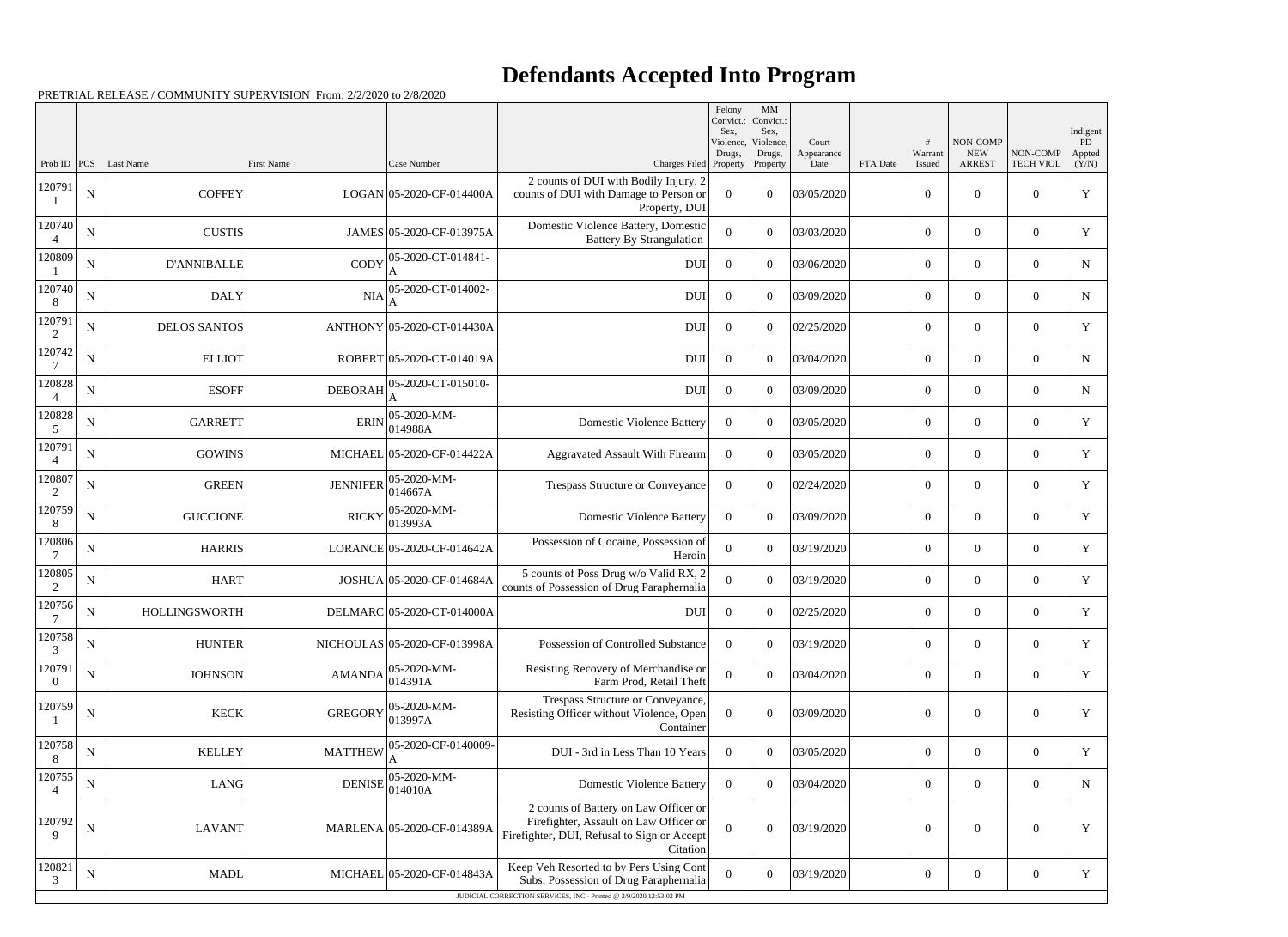## **Defendants Accepted Into Program**

|                          |             |                      |                                                               |                                |                                                                                                                                            | Felony<br>Convict.:<br>Sex. | MM<br>Convict.:<br>Sex, |                     |          |                  |                         |                  | Indigent     |
|--------------------------|-------------|----------------------|---------------------------------------------------------------|--------------------------------|--------------------------------------------------------------------------------------------------------------------------------------------|-----------------------------|-------------------------|---------------------|----------|------------------|-------------------------|------------------|--------------|
|                          |             |                      |                                                               |                                |                                                                                                                                            | Violence,<br>Drugs,         | Violence,<br>Drugs,     | Court<br>Appearance |          | Warrant          | NON-COMP<br>${\rm NEW}$ | NON-COMP         | PD<br>Appted |
| Prob ID<br>120791        | PCS         | <b>Last Name</b>     | <b>First Name</b>                                             | Case Number                    | Charges Filed Property<br>2 counts of DUI with Bodily Injury, 2                                                                            |                             | Property                | Date                | FTA Date | Issued           | <b>ARREST</b>           | <b>TECH VIOL</b> | (Y/N)        |
|                          | ${\bf N}$   | <b>COFFEY</b>        |                                                               | LOGAN 05-2020-CF-014400A       | counts of DUI with Damage to Person or<br>Property, DUI                                                                                    | $\overline{0}$              | $\boldsymbol{0}$        | 03/05/2020          |          | $\boldsymbol{0}$ | $\overline{0}$          | $\theta$         | $\mathbf Y$  |
| 120740                   | N           | <b>CUSTIS</b>        |                                                               | JAMES 05-2020-CF-013975A       | Domestic Violence Battery, Domestic<br><b>Battery By Strangulation</b>                                                                     | $\Omega$                    | $\Omega$                | 03/03/2020          |          | $\mathbf{0}$     | $\overline{0}$          | $\theta$         | Y            |
| 120809                   | $\mathbf N$ | <b>D'ANNIBALLE</b>   | CODY                                                          | 05-2020-CT-014841-<br>A        | <b>DUI</b>                                                                                                                                 | $\boldsymbol{0}$            | $\boldsymbol{0}$        | 03/06/2020          |          | $\boldsymbol{0}$ | $\overline{0}$          | $\theta$         | N            |
| 120740<br>8              | $\mathbf N$ | <b>DALY</b>          | <b>NIA</b>                                                    | 05-2020-CT-014002-             | <b>DUI</b>                                                                                                                                 | $\overline{0}$              | $\theta$                | 03/09/2020          |          | $\overline{0}$   | $\overline{0}$          | $\overline{0}$   | N            |
| 120791<br>2              | ${\bf N}$   | <b>DELOS SANTOS</b>  |                                                               | ANTHONY 05-2020-CT-014430A     | <b>DUI</b>                                                                                                                                 | $\overline{0}$              | $\theta$                | 02/25/2020          |          | $\overline{0}$   | $\overline{0}$          | $\theta$         | $\mathbf Y$  |
| 120742                   | $\mathbf N$ | <b>ELLIOT</b>        |                                                               | ROBERT 05-2020-CT-014019A      | <b>DUI</b>                                                                                                                                 | $\overline{0}$              | $\boldsymbol{0}$        | 03/04/2020          |          | $\mathbf{0}$     | $\boldsymbol{0}$        | $\overline{0}$   | N            |
| 120828<br>$\overline{4}$ | ${\bf N}$   | <b>ESOFF</b>         | <b>DEBORAH</b>                                                | 05-2020-CT-015010-             | <b>DUI</b>                                                                                                                                 | $\overline{0}$              | $\theta$                | 03/09/2020          |          | $\boldsymbol{0}$ | $\overline{0}$          | $\theta$         | $\mathbf N$  |
| 120828<br>5              | $\mathbf N$ | <b>GARRETT</b>       | <b>ERIN</b>                                                   | $ 05-2020-MM-$<br>014988A      | <b>Domestic Violence Battery</b>                                                                                                           | $\overline{0}$              | $\boldsymbol{0}$        | 03/05/2020          |          | $\overline{0}$   | $\overline{0}$          | $\overline{0}$   | Y            |
| 120791<br>$\overline{4}$ | ${\bf N}$   | <b>GOWINS</b>        |                                                               | MICHAEL 05-2020-CF-014422A     | <b>Aggravated Assault With Firearm</b>                                                                                                     | $\overline{0}$              | $\theta$                | 03/05/2020          |          | $\overline{0}$   | $\overline{0}$          | $\theta$         | $\mathbf Y$  |
| 120807<br>2              | $\mathbf N$ | <b>GREEN</b>         | <b>JENNIFER</b>                                               | $ 05 - 2020 - MM -$<br>014667A | Trespass Structure or Conveyance                                                                                                           | $\overline{0}$              | $\boldsymbol{0}$        | 02/24/2020          |          | $\mathbf{0}$     | $\overline{0}$          | $\Omega$         | Y            |
| 120759<br>8              | ${\bf N}$   | <b>GUCCIONE</b>      | <b>RICKY</b>                                                  | 05-2020-MM-<br>013993A         | <b>Domestic Violence Battery</b>                                                                                                           | $\overline{0}$              | $\theta$                | 03/09/2020          |          | $\boldsymbol{0}$ | $\overline{0}$          | $\overline{0}$   | Y            |
| 120806                   | $\mathbf N$ | <b>HARRIS</b>        |                                                               | LORANCE 05-2020-CF-014642A     | Possession of Cocaine, Possession of<br>Heroin                                                                                             | $\mathbf{0}$                | $\boldsymbol{0}$        | 03/19/2020          |          | $\overline{0}$   | $\overline{0}$          | $\overline{0}$   | Y            |
| 120805<br>2              | ${\bf N}$   | <b>HART</b>          |                                                               | JOSHUA 05-2020-CF-014684A      | 5 counts of Poss Drug w/o Valid RX, 2<br>counts of Possession of Drug Paraphernalia                                                        | $\theta$                    | $\Omega$                | 03/19/2020          |          | $\boldsymbol{0}$ | $\overline{0}$          | $\theta$         | Y            |
| 120756                   | N           | <b>HOLLINGSWORTH</b> |                                                               | DELMARC 05-2020-CT-014000A     | <b>DUI</b>                                                                                                                                 | $\overline{0}$              | $\boldsymbol{0}$        | 02/25/2020          |          | $\overline{0}$   | $\overline{0}$          | $\overline{0}$   | Y            |
| 120758<br>3              | ${\bf N}$   | <b>HUNTER</b>        |                                                               | NICHOULAS 05-2020-CF-013998A   | Possession of Controlled Substance                                                                                                         | $\overline{0}$              | $\boldsymbol{0}$        | 03/19/2020          |          | $\boldsymbol{0}$ | $\mathbf{0}$            | $\mathbf{0}$     | Y            |
| 120791<br>$\theta$       | $\mathbf N$ | <b>JOHNSON</b>       | $AMANDA\begin{vmatrix} 0 & 2 & 1 \\ 0 & 14391A \end{vmatrix}$ | 05-2020-MM-                    | Resisting Recovery of Merchandise or<br>Farm Prod, Retail Theft                                                                            | $\boldsymbol{0}$            | $\overline{0}$          | 03/04/2020          |          | $\overline{0}$   | $\boldsymbol{0}$        | $\overline{0}$   | Y            |
| 120759                   | ${\bf N}$   | <b>KECK</b>          | <b>GREGORY</b>                                                | 05-2020-MM-<br>013997A         | Trespass Structure or Conveyance,<br>Resisting Officer without Violence, Open<br>Container                                                 | $\overline{0}$              | $\boldsymbol{0}$        | 03/09/2020          |          | $\boldsymbol{0}$ | $\boldsymbol{0}$        | $\mathbf{0}$     | Y            |
| 120758<br>8              | $\mathbf N$ | <b>KELLEY</b>        | <b>MATTHEW</b>                                                | 05-2020-CF-0140009-            | DUI - 3rd in Less Than 10 Years                                                                                                            | $\overline{0}$              | $\boldsymbol{0}$        | 03/05/2020          |          | $\overline{0}$   | $\overline{0}$          | $\overline{0}$   | Y            |
| 120755<br>4              | ${\bf N}$   | LANG                 | <b>DENISE</b>                                                 | 05-2020-MM-<br>014010A         | <b>Domestic Violence Battery</b>                                                                                                           | $\overline{0}$              | $\overline{0}$          | 03/04/2020          |          | $\overline{0}$   | $\overline{0}$          | $\overline{0}$   | N            |
| 120792<br>9              | $\mathbf N$ | <b>LAVANT</b>        |                                                               | MARLENA 05-2020-CF-014389A     | 2 counts of Battery on Law Officer or<br>Firefighter, Assault on Law Officer or<br>Firefighter, DUI, Refusal to Sign or Accept<br>Citation | $\theta$                    | $\boldsymbol{0}$        | 03/19/2020          |          | $\boldsymbol{0}$ | $\boldsymbol{0}$        | $\overline{0}$   | Y            |
| 120821<br>3              | $\mathbf N$ | <b>MADL</b>          |                                                               | MICHAEL 05-2020-CF-014843A     | Keep Veh Resorted to by Pers Using Cont<br>Subs, Possession of Drug Paraphernalia                                                          | $\boldsymbol{0}$            | $\boldsymbol{0}$        | 03/19/2020          |          | $\boldsymbol{0}$ | $\overline{0}$          | $\overline{0}$   | Y            |
|                          |             |                      |                                                               |                                | JUDICIAL CORRECTION SERVICES, INC - Printed @ 2/9/2020 12:53:02 PM                                                                         |                             |                         |                     |          |                  |                         |                  |              |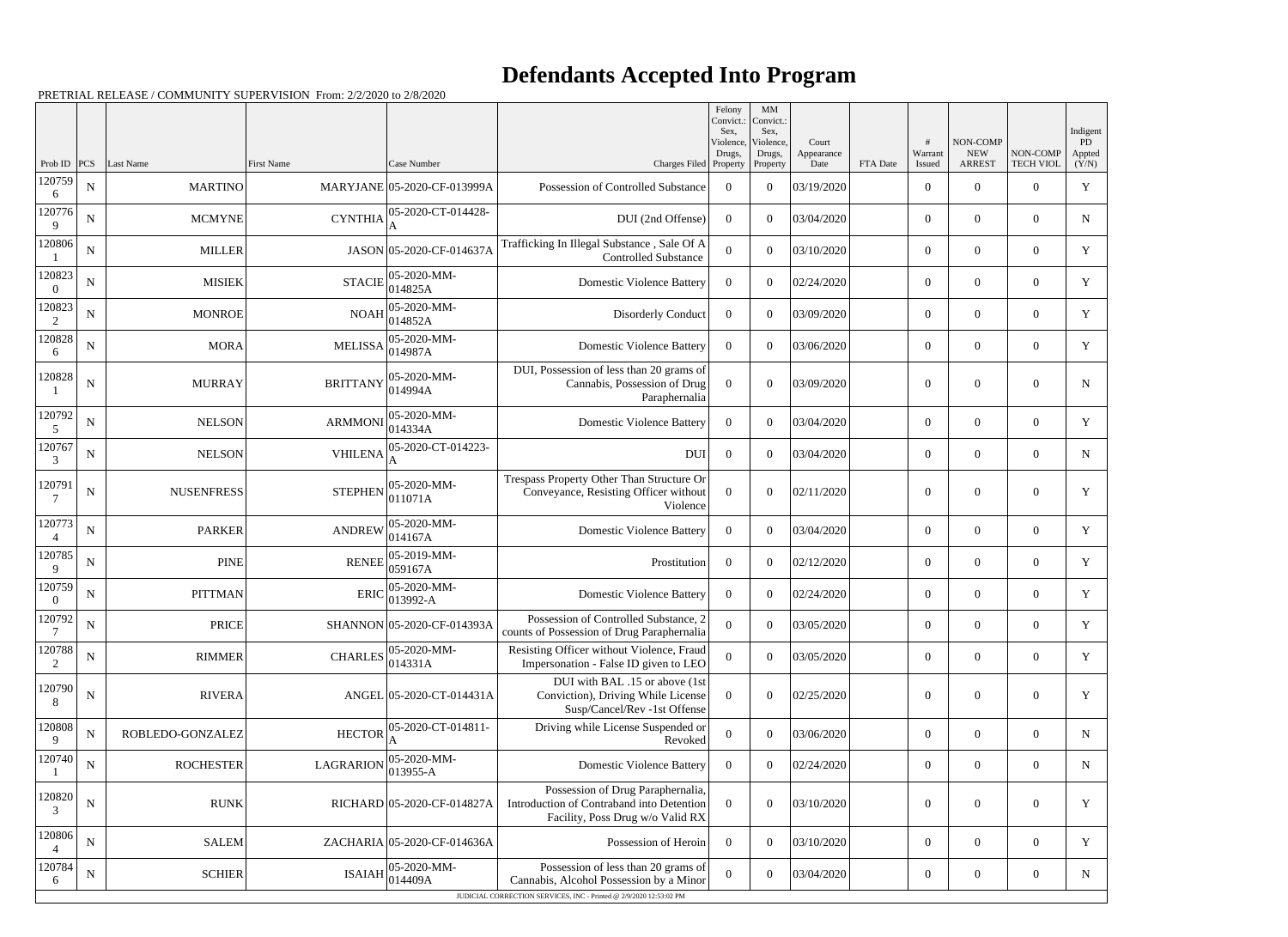## **Defendants Accepted Into Program**

|                          |             |                   |                   |                             |                                                                                                                    | Felony<br>Convict.:<br>Sex. | MM<br>Convict.:<br>Sex,         |                             |          |                   |                                         |                              | Indigent              |
|--------------------------|-------------|-------------------|-------------------|-----------------------------|--------------------------------------------------------------------------------------------------------------------|-----------------------------|---------------------------------|-----------------------------|----------|-------------------|-----------------------------------------|------------------------------|-----------------------|
| Prob ID                  | PCS         | Last Name         | <b>First Name</b> | Case Number                 | Charges Filed Property                                                                                             | Violence,<br>Drugs,         | Violence,<br>Drugs,<br>Property | Court<br>Appearance<br>Date | FTA Date | Warrant<br>Issued | NON-COMP<br><b>NEW</b><br><b>ARREST</b> | NON-COMP<br><b>TECH VIOL</b> | PD<br>Appted<br>(Y/N) |
| 120759<br>6              | ${\bf N}$   | <b>MARTINO</b>    |                   | MARYJANE 05-2020-CF-013999A | Possession of Controlled Substance                                                                                 | $\Omega$                    | $\Omega$                        | 03/19/2020                  |          | $\overline{0}$    | $\theta$                                | $\overline{0}$               | $\mathbf Y$           |
| 120776<br>9              | $\mathbf N$ | <b>MCMYNE</b>     | <b>CYNTHIA</b>    | 05-2020-CT-014428-          | DUI (2nd Offense)                                                                                                  | $\Omega$                    | $\Omega$                        | 03/04/2020                  |          | $\overline{0}$    | $\overline{0}$                          | $\overline{0}$               | $\mathbf N$           |
| 120806                   | ${\bf N}$   | <b>MILLER</b>     |                   | JASON 05-2020-CF-014637A    | Trafficking In Illegal Substance, Sale Of A<br><b>Controlled Substance</b>                                         | $\Omega$                    | $\Omega$                        | 03/10/2020                  |          | $\theta$          | $\theta$                                | $\overline{0}$               | Y                     |
| 120823<br>$\Omega$       | ${\bf N}$   | <b>MISIEK</b>     | <b>STACIE</b>     | 05-2020-MM-<br>014825A      | <b>Domestic Violence Battery</b>                                                                                   | $\Omega$                    | $\Omega$                        | 02/24/2020                  |          | $\overline{0}$    | $\overline{0}$                          | $\overline{0}$               | Y                     |
| 120823<br>2              | ${\bf N}$   | <b>MONROE</b>     | <b>NOAH</b>       | 05-2020-MM-<br>014852A      | <b>Disorderly Conduct</b>                                                                                          | $\overline{0}$              | $\Omega$                        | 03/09/2020                  |          | $\theta$          | $\Omega$                                | $\overline{0}$               | Y                     |
| 120828<br>6              | $\mathbf N$ | <b>MORA</b>       | <b>MELISSA</b>    | 05-2020-MM-<br>014987A      | <b>Domestic Violence Battery</b>                                                                                   | $\Omega$                    | $\Omega$                        | 03/06/2020                  |          | $\overline{0}$    | $\overline{0}$                          | $\overline{0}$               | Y                     |
| 120828                   | $\mathbf N$ | <b>MURRAY</b>     | <b>BRITTANY</b>   | 05-2020-MM-<br>014994A      | DUI, Possession of less than 20 grams of<br>Cannabis, Possession of Drug<br>Paraphernalia                          | $\theta$                    | $\Omega$                        | 03/09/2020                  |          | $\theta$          | $\theta$                                | $\overline{0}$               | $\mathbf N$           |
| 120792<br>5              | $\mathbf N$ | <b>NELSON</b>     | <b>ARMMONI</b>    | 05-2020-MM-<br>014334A      | <b>Domestic Violence Battery</b>                                                                                   | $\Omega$                    | $\theta$                        | 03/04/2020                  |          | $\theta$          | $\overline{0}$                          | $\overline{0}$               | Y                     |
| 120767<br>3              | ${\bf N}$   | <b>NELSON</b>     | <b>VHILENA</b>    | 05-2020-CT-014223-          | <b>DUI</b>                                                                                                         | $\overline{0}$              | $\Omega$                        | 03/04/2020                  |          | $\overline{0}$    | $\theta$                                | $\overline{0}$               | $\mathbf N$           |
| 120791                   | $\mathbf N$ | <b>NUSENFRESS</b> | <b>STEPHEN</b>    | 05-2020-MM-<br>011071A      | Trespass Property Other Than Structure Or<br>Conveyance, Resisting Officer without<br>Violence                     | $\overline{0}$              | $\Omega$                        | 02/11/2020                  |          | $\overline{0}$    | $\theta$                                | $\overline{0}$               | Y                     |
| 120773<br>$\overline{4}$ | ${\bf N}$   | <b>PARKER</b>     | <b>ANDREW</b>     | 05-2020-MM-<br>014167A      | <b>Domestic Violence Battery</b>                                                                                   | $\overline{0}$              | $\theta$                        | 03/04/2020                  |          | $\overline{0}$    | $\overline{0}$                          | $\overline{0}$               | Y                     |
| 120785<br>9              | ${\bf N}$   | <b>PINE</b>       | <b>RENEE</b>      | 05-2019-MM-<br>059167A      | Prostitution                                                                                                       | $\overline{0}$              | $\theta$                        | 02/12/2020                  |          | $\overline{0}$    | $\overline{0}$                          | $\overline{0}$               | Y                     |
| 120759<br>$\overline{0}$ | ${\bf N}$   | <b>PITTMAN</b>    | <b>ERIC</b>       | 05-2020-MM-<br>013992-A     | <b>Domestic Violence Battery</b>                                                                                   | $\overline{0}$              | $\theta$                        | 02/24/2020                  |          | $\overline{0}$    | $\overline{0}$                          | $\overline{0}$               | Y                     |
| 120792<br>7              | ${\bf N}$   | <b>PRICE</b>      |                   | SHANNON 05-2020-CF-014393A  | Possession of Controlled Substance, 2<br>counts of Possession of Drug Paraphernalia                                | $\boldsymbol{0}$            | $\overline{0}$                  | 03/05/2020                  |          | $\boldsymbol{0}$  | $\overline{0}$                          | $\overline{0}$               | Y                     |
| 120788<br>2              | ${\bf N}$   | <b>RIMMER</b>     | <b>CHARLES</b>    | 05-2020-MM-<br>014331A      | Resisting Officer without Violence, Fraud<br>Impersonation - False ID given to LEO                                 | $\theta$                    | $\boldsymbol{0}$                | 03/05/2020                  |          | $\overline{0}$    | $\overline{0}$                          | $\overline{0}$               | Y                     |
| 120790                   | $\mathbf N$ | <b>RIVERA</b>     |                   | ANGEL 05-2020-CT-014431A    | DUI with BAL .15 or above (1st<br>Conviction), Driving While License<br>Susp/Cancel/Rev -1st Offense               | $\overline{0}$              | $\theta$                        | 02/25/2020                  |          | $\mathbf{0}$      | $\boldsymbol{0}$                        | $\overline{0}$               | Y                     |
| 120808<br>9              | ${\bf N}$   | ROBLEDO-GONZALEZ  | <b>HECTOR</b>     | 05-2020-CT-014811-          | Driving while License Suspended or<br>Revoked                                                                      | $\boldsymbol{0}$            | $\Omega$                        | 03/06/2020                  |          | $\mathbf{0}$      | $\overline{0}$                          | $\overline{0}$               | $\mathbf N$           |
| 120740                   | $\mathbf N$ | <b>ROCHESTER</b>  | <b>LAGRARION</b>  | 05-2020-MM-<br>013955-A     | <b>Domestic Violence Battery</b>                                                                                   | $\overline{0}$              | $\overline{0}$                  | 02/24/2020                  |          | $\overline{0}$    | $\overline{0}$                          | $\overline{0}$               | $\mathbf N$           |
| 120820<br>3              | ${\bf N}$   | <b>RUNK</b>       |                   | RICHARD 05-2020-CF-014827A  | Possession of Drug Paraphernalia,<br>Introduction of Contraband into Detention<br>Facility, Poss Drug w/o Valid RX | $\theta$                    | $\overline{0}$                  | 03/10/2020                  |          | $\mathbf{0}$      | $\overline{0}$                          | $\boldsymbol{0}$             | $\mathbf Y$           |
| 120806                   | $\mathbf N$ | <b>SALEM</b>      |                   | ZACHARIA 05-2020-CF-014636A | Possession of Heroin                                                                                               | $\overline{0}$              | $\theta$                        | 03/10/2020                  |          | $\overline{0}$    | $\overline{0}$                          | $\overline{0}$               | Y                     |
| 120784<br>6              | $\mathbf N$ | <b>SCHIER</b>     | <b>ISAIAH</b>     | 05-2020-MM-<br>014409A      | Possession of less than 20 grams of<br>Cannabis, Alcohol Possession by a Minor                                     | $\overline{0}$              | $\boldsymbol{0}$                | 03/04/2020                  |          | $\boldsymbol{0}$  | $\overline{0}$                          | $\overline{0}$               | $\mathbf N$           |
|                          |             |                   |                   |                             | JUDICIAL CORRECTION SERVICES, INC - Printed @ 2/9/2020 12:53:02 PM                                                 |                             |                                 |                             |          |                   |                                         |                              |                       |